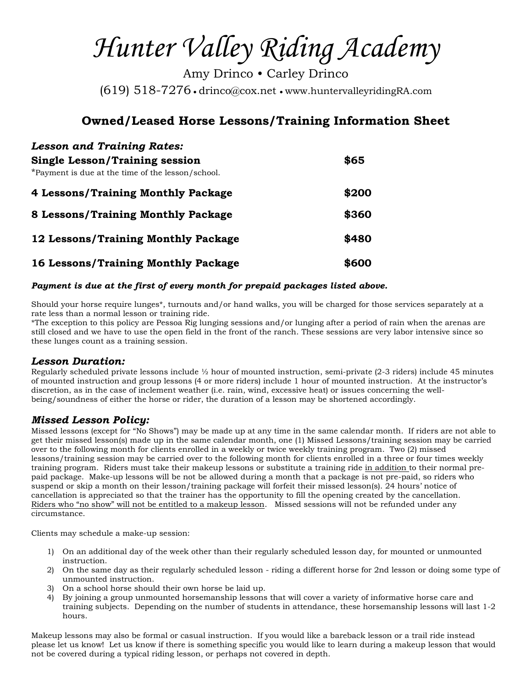*Hunter Valley Riding Academy*

Amy Drinco • Carley Drinco (619) 518-7276 drinco@cox.net www.huntervalleyridingRA.com

# **Owned/Leased Horse Lessons/Training Information Sheet**

| <b>Lesson and Training Rates:</b>                 |       |
|---------------------------------------------------|-------|
| <b>Single Lesson/Training session</b>             | \$65  |
| *Payment is due at the time of the lesson/school. |       |
| 4 Lessons/Training Monthly Package                | \$200 |
| 8 Lessons/Training Monthly Package                | \$360 |
| 12 Lessons/Training Monthly Package               | \$480 |
| 16 Lessons/Training Monthly Package               | \$600 |

#### *Payment is due at the first of every month for prepaid packages listed above.*

Should your horse require lunges\*, turnouts and/or hand walks, you will be charged for those services separately at a rate less than a normal lesson or training ride.

\*The exception to this policy are Pessoa Rig lunging sessions and/or lunging after a period of rain when the arenas are still closed and we have to use the open field in the front of the ranch. These sessions are very labor intensive since so these lunges count as a training session.

### *Lesson Duration:*

Regularly scheduled private lessons include ½ hour of mounted instruction, semi-private (2-3 riders) include 45 minutes of mounted instruction and group lessons (4 or more riders) include 1 hour of mounted instruction. At the instructor's discretion, as in the case of inclement weather (i.e. rain, wind, excessive heat) or issues concerning the wellbeing/soundness of either the horse or rider, the duration of a lesson may be shortened accordingly.

### *Missed Lesson Policy:*

Missed lessons (except for "No Shows") may be made up at any time in the same calendar month. If riders are not able to get their missed lesson(s) made up in the same calendar month, one (1) Missed Lessons/training session may be carried over to the following month for clients enrolled in a weekly or twice weekly training program. Two (2) missed lessons/training session may be carried over to the following month for clients enrolled in a three or four times weekly training program. Riders must take their makeup lessons or substitute a training ride in addition to their normal prepaid package. Make-up lessons will be not be allowed during a month that a package is not pre-paid, so riders who suspend or skip a month on their lesson/training package will forfeit their missed lesson(s). 24 hours' notice of cancellation is appreciated so that the trainer has the opportunity to fill the opening created by the cancellation. Riders who "no show" will not be entitled to a makeup lesson. Missed sessions will not be refunded under any circumstance.

Clients may schedule a make-up session:

- 1) On an additional day of the week other than their regularly scheduled lesson day, for mounted or unmounted instruction.
- 2) On the same day as their regularly scheduled lesson riding a different horse for 2nd lesson or doing some type of unmounted instruction.
- 3) On a school horse should their own horse be laid up.
- 4) By joining a group unmounted horsemanship lessons that will cover a variety of informative horse care and training subjects. Depending on the number of students in attendance, these horsemanship lessons will last 1-2 hours.

Makeup lessons may also be formal or casual instruction. If you would like a bareback lesson or a trail ride instead please let us know! Let us know if there is something specific you would like to learn during a makeup lesson that would not be covered during a typical riding lesson, or perhaps not covered in depth.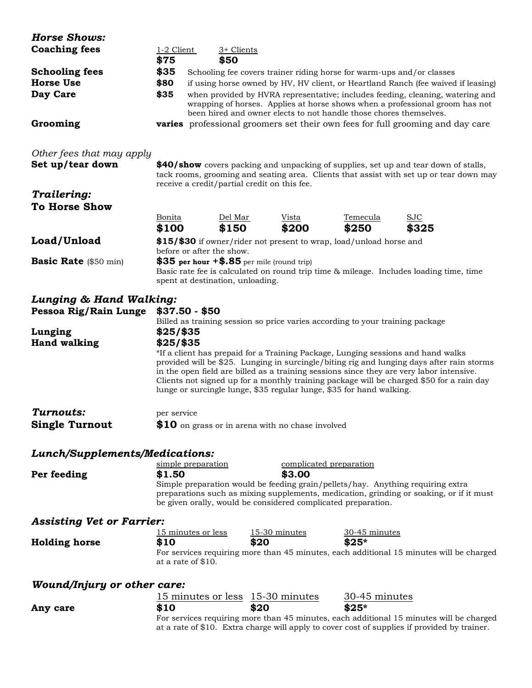| <b>Horse Shows:</b>                           |                                                                                                                                                                                                                                             |                                                  |                                         |                                                                               |                                                                                                                                                                                                                                                                                                                                                                       |
|-----------------------------------------------|---------------------------------------------------------------------------------------------------------------------------------------------------------------------------------------------------------------------------------------------|--------------------------------------------------|-----------------------------------------|-------------------------------------------------------------------------------|-----------------------------------------------------------------------------------------------------------------------------------------------------------------------------------------------------------------------------------------------------------------------------------------------------------------------------------------------------------------------|
| <b>Coaching fees</b>                          | 1-2 Client                                                                                                                                                                                                                                  | 3+ Clients                                       |                                         |                                                                               |                                                                                                                                                                                                                                                                                                                                                                       |
|                                               | \$75                                                                                                                                                                                                                                        | \$50                                             |                                         |                                                                               |                                                                                                                                                                                                                                                                                                                                                                       |
| <b>Schooling fees</b>                         | \$35                                                                                                                                                                                                                                        |                                                  |                                         |                                                                               |                                                                                                                                                                                                                                                                                                                                                                       |
| <b>Horse Use</b>                              | Schooling fee covers trainer riding horse for warm-ups and/or classes<br>\$80<br>if using horse owned by HV, HV client, or Heartland Ranch (fee waived if leasing)                                                                          |                                                  |                                         |                                                                               |                                                                                                                                                                                                                                                                                                                                                                       |
| Day Care                                      | \$35<br>when provided by HVRA representative; includes feeding, cleaning, watering and                                                                                                                                                      |                                                  |                                         |                                                                               |                                                                                                                                                                                                                                                                                                                                                                       |
|                                               |                                                                                                                                                                                                                                             |                                                  |                                         | been hired and owner elects to not handle those chores themselves.            | wrapping of horses. Applies at horse shows when a professional groom has not                                                                                                                                                                                                                                                                                          |
| Grooming                                      |                                                                                                                                                                                                                                             |                                                  |                                         |                                                                               | <b>varies</b> professional groomers set their own fees for full grooming and day care                                                                                                                                                                                                                                                                                 |
|                                               |                                                                                                                                                                                                                                             |                                                  |                                         |                                                                               |                                                                                                                                                                                                                                                                                                                                                                       |
| Other fees that may apply<br>Set up/tear down |                                                                                                                                                                                                                                             |                                                  |                                         |                                                                               |                                                                                                                                                                                                                                                                                                                                                                       |
|                                               | \$40/show covers packing and unpacking of supplies, set up and tear down of stalls,<br>tack rooms, grooming and seating area. Clients that assist with set up or tear down may<br>receive a credit/partial credit on this fee.              |                                                  |                                         |                                                                               |                                                                                                                                                                                                                                                                                                                                                                       |
| Trailering:                                   |                                                                                                                                                                                                                                             |                                                  |                                         |                                                                               |                                                                                                                                                                                                                                                                                                                                                                       |
| <b>To Horse Show</b>                          |                                                                                                                                                                                                                                             |                                                  |                                         |                                                                               |                                                                                                                                                                                                                                                                                                                                                                       |
|                                               | Bonita                                                                                                                                                                                                                                      | Del Mar                                          | Vista                                   | Temecula                                                                      | <b>SJC</b>                                                                                                                                                                                                                                                                                                                                                            |
|                                               | \$100                                                                                                                                                                                                                                       | \$150                                            | \$200                                   | \$250                                                                         | \$325                                                                                                                                                                                                                                                                                                                                                                 |
| Load/Unload                                   | \$15/\$30 if owner/rider not present to wrap, load/unload horse and<br>before or after the show.                                                                                                                                            |                                                  |                                         |                                                                               |                                                                                                                                                                                                                                                                                                                                                                       |
| <b>Basic Rate</b> (\$50 min)                  | \$35 per hour $+$ \$.85 per mile (round trip)<br>Basic rate fee is calculated on round trip time & mileage. Includes loading time, time<br>spent at destination, unloading.                                                                 |                                                  |                                         |                                                                               |                                                                                                                                                                                                                                                                                                                                                                       |
|                                               |                                                                                                                                                                                                                                             |                                                  |                                         |                                                                               |                                                                                                                                                                                                                                                                                                                                                                       |
| Lunging & Hand Walking:                       |                                                                                                                                                                                                                                             |                                                  |                                         |                                                                               |                                                                                                                                                                                                                                                                                                                                                                       |
| Pessoa Rig/Rain Lunge                         |                                                                                                                                                                                                                                             | $$37.50 - $50$                                   |                                         | Billed as training session so price varies according to your training package |                                                                                                                                                                                                                                                                                                                                                                       |
| Lunging                                       | $$25/$ \$35                                                                                                                                                                                                                                 |                                                  |                                         |                                                                               |                                                                                                                                                                                                                                                                                                                                                                       |
| <b>Hand walking</b>                           | $$25/$ \$35                                                                                                                                                                                                                                 |                                                  |                                         |                                                                               |                                                                                                                                                                                                                                                                                                                                                                       |
|                                               |                                                                                                                                                                                                                                             |                                                  |                                         | lunge or surcingle lunge, \$35 regular lunge, \$35 for hand walking.          | *If a client has prepaid for a Training Package, Lunging sessions and hand walks<br>provided will be \$25. Lunging in surcingle/biting rig and lunging days after rain storms<br>in the open field are billed as a training sessions since they are very labor intensive.<br>Clients not signed up for a monthly training package will be charged \$50 for a rain day |
| Turnouts:                                     | per service                                                                                                                                                                                                                                 |                                                  |                                         |                                                                               |                                                                                                                                                                                                                                                                                                                                                                       |
| <b>Single Turnout</b>                         |                                                                                                                                                                                                                                             | \$10 on grass or in arena with no chase involved |                                         |                                                                               |                                                                                                                                                                                                                                                                                                                                                                       |
| Lunch/Supplements/Medications:                |                                                                                                                                                                                                                                             |                                                  |                                         |                                                                               |                                                                                                                                                                                                                                                                                                                                                                       |
|                                               |                                                                                                                                                                                                                                             | simple preparation                               |                                         | complicated preparation                                                       |                                                                                                                                                                                                                                                                                                                                                                       |
| Per feeding                                   | \$1.50                                                                                                                                                                                                                                      |                                                  | \$3.00                                  |                                                                               |                                                                                                                                                                                                                                                                                                                                                                       |
|                                               | Simple preparation would be feeding grain/pellets/hay. Anything requiring extra<br>preparations such as mixing supplements, medication, grinding or soaking, or if it must<br>be given orally, would be considered complicated preparation. |                                                  |                                         |                                                                               |                                                                                                                                                                                                                                                                                                                                                                       |
| <b>Assisting Vet or Farrier:</b>              |                                                                                                                                                                                                                                             |                                                  |                                         |                                                                               |                                                                                                                                                                                                                                                                                                                                                                       |
|                                               | \$10                                                                                                                                                                                                                                        | 15 minutes or less                               | $15-30$ minutes<br>\$20                 | 30-45 minutes<br>$$25*$                                                       |                                                                                                                                                                                                                                                                                                                                                                       |
| <b>Holding horse</b>                          |                                                                                                                                                                                                                                             | at a rate of \$10.                               |                                         |                                                                               | For services requiring more than 45 minutes, each additional 15 minutes will be charged                                                                                                                                                                                                                                                                               |
| Wound/Injury or other care:                   |                                                                                                                                                                                                                                             |                                                  |                                         |                                                                               |                                                                                                                                                                                                                                                                                                                                                                       |
|                                               |                                                                                                                                                                                                                                             |                                                  | <u>15 minutes or less 15-30 minutes</u> | <u>30-45 minutes</u>                                                          |                                                                                                                                                                                                                                                                                                                                                                       |
| Any care                                      | \$10                                                                                                                                                                                                                                        |                                                  | \$20                                    | $$25*$                                                                        |                                                                                                                                                                                                                                                                                                                                                                       |
|                                               |                                                                                                                                                                                                                                             |                                                  |                                         |                                                                               | For services requiring more than 45 minutes, each additional 15 minutes will be charged<br>at a rate of \$10. Extra charge will apply to cover cost of supplies if provided by trainer.                                                                                                                                                                               |
|                                               |                                                                                                                                                                                                                                             |                                                  |                                         |                                                                               |                                                                                                                                                                                                                                                                                                                                                                       |